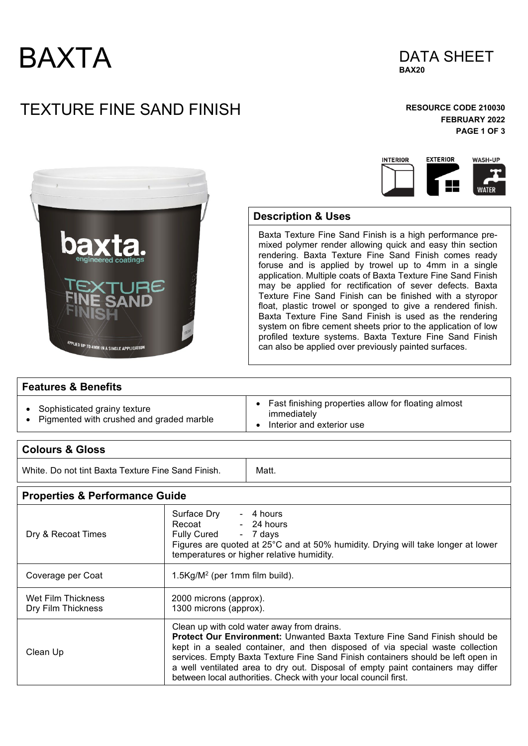



## TEXTURE FINE SAND FINISH **RESOURCE CODE 210030**

### **FEBRUARY 2022 PAGE 1 OF 3**





### **Description & Uses**

Baxta Texture Fine Sand Finish is a high performance premixed polymer render allowing quick and easy thin section rendering. Baxta Texture Fine Sand Finish comes ready foruse and is applied by trowel up to 4mm in a single application. Multiple coats of Baxta Texture Fine Sand Finish may be applied for rectification of sever defects. Baxta Texture Fine Sand Finish can be finished with a styropor float, plastic trowel or sponged to give a rendered finish. Baxta Texture Fine Sand Finish is used as the rendering system on fibre cement sheets prior to the application of low profiled texture systems. Baxta Texture Fine Sand Finish can also be applied over previously painted surfaces.

#### **Features & Benefits**

- Sophisticated grainy texture
- Pigmented with crushed and graded marble
- Fast finishing properties allow for floating almost immediately
- Interior and exterior use

| <b>Colours &amp; Gloss</b>                         |                                                                                                                                                                                                                                                                                                                                                                                          |                                                                                                                                                                      |
|----------------------------------------------------|------------------------------------------------------------------------------------------------------------------------------------------------------------------------------------------------------------------------------------------------------------------------------------------------------------------------------------------------------------------------------------------|----------------------------------------------------------------------------------------------------------------------------------------------------------------------|
| White. Do not tint Baxta Texture Fine Sand Finish. |                                                                                                                                                                                                                                                                                                                                                                                          | Matt.                                                                                                                                                                |
| <b>Properties &amp; Performance Guide</b>          |                                                                                                                                                                                                                                                                                                                                                                                          |                                                                                                                                                                      |
| Dry & Recoat Times                                 | Surface Dry<br>Recoat<br><b>Fully Cured</b>                                                                                                                                                                                                                                                                                                                                              | - 4 hours<br>- 24 hours<br>- 7 days<br>Figures are quoted at 25°C and at 50% humidity. Drying will take longer at lower<br>temperatures or higher relative humidity. |
| Coverage per Coat                                  | $1.5\text{Kg/M}^2$ (per 1mm film build).                                                                                                                                                                                                                                                                                                                                                 |                                                                                                                                                                      |
| Wet Film Thickness<br>Dry Film Thickness           | 2000 microns (approx).<br>1300 microns (approx).                                                                                                                                                                                                                                                                                                                                         |                                                                                                                                                                      |
| Clean Up                                           | Clean up with cold water away from drains.<br><b>Protect Our Environment:</b> Unwanted Baxta Texture Fine Sand Finish should be<br>kept in a sealed container, and then disposed of via special waste collection<br>services. Empty Baxta Texture Fine Sand Finish containers should be left open in<br>a well ventilated area to dry out. Disposal of empty paint containers may differ |                                                                                                                                                                      |

between local authorities. Check with your local council first.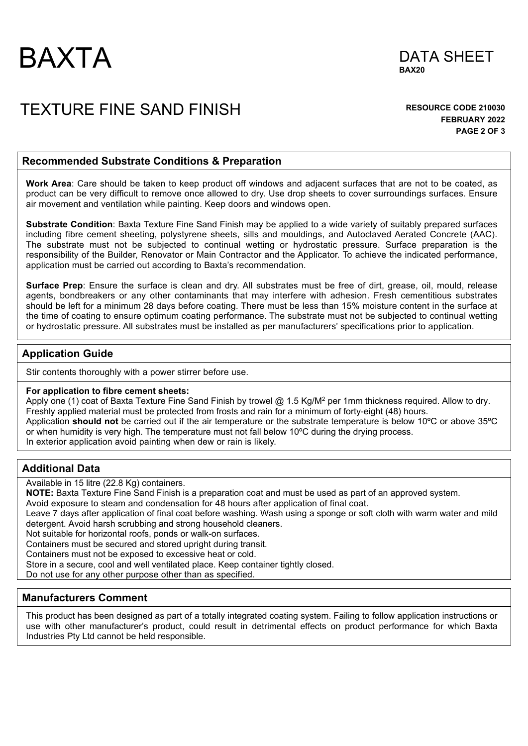



### TEXTURE FINE SAND FINISH **RESOURCE CODE 210030**

**FEBRUARY 2022 PAGE 2 OF 3** 

#### **Recommended Substrate Conditions & Preparation**

**Work Area**: Care should be taken to keep product off windows and adjacent surfaces that are not to be coated, as product can be very difficult to remove once allowed to dry. Use drop sheets to cover surroundings surfaces. Ensure air movement and ventilation while painting. Keep doors and windows open.

**Substrate Condition**: Baxta Texture Fine Sand Finish may be applied to a wide variety of suitably prepared surfaces including fibre cement sheeting, polystyrene sheets, sills and mouldings, and Autoclaved Aerated Concrete (AAC). The substrate must not be subjected to continual wetting or hydrostatic pressure. Surface preparation is the responsibility of the Builder, Renovator or Main Contractor and the Applicator. To achieve the indicated performance, application must be carried out according to Baxta's recommendation.

**Surface Prep**: Ensure the surface is clean and dry. All substrates must be free of dirt, grease, oil, mould, release agents, bondbreakers or any other contaminants that may interfere with adhesion. Fresh cementitious substrates should be left for a minimum 28 days before coating. There must be less than 15% moisture content in the surface at the time of coating to ensure optimum coating performance. The substrate must not be subjected to continual wetting or hydrostatic pressure. All substrates must be installed as per manufacturers' specifications prior to application.

#### **Application Guide**

Stir contents thoroughly with a power stirrer before use.

#### **For application to fibre cement sheets:**

Apply one (1) coat of Baxta Texture Fine Sand Finish by trowel @ 1.5 Kg/M<sup>2</sup> per 1mm thickness required. Allow to dry. Freshly applied material must be protected from frosts and rain for a minimum of forty-eight (48) hours. Application **should not** be carried out if the air temperature or the substrate temperature is below 10ºC or above 35ºC or when humidity is very high. The temperature must not fall below 10ºC during the drying process. In exterior application avoid painting when dew or rain is likely.

#### **Additional Data**

Available in 15 litre (22.8 Kg) containers.

**NOTE:** Baxta Texture Fine Sand Finish is a preparation coat and must be used as part of an approved system.

Avoid exposure to steam and condensation for 48 hours after application of final coat.

Leave 7 days after application of final coat before washing. Wash using a sponge or soft cloth with warm water and mild detergent. Avoid harsh scrubbing and strong household cleaners.

Not suitable for horizontal roofs, ponds or walk-on surfaces.

Containers must be secured and stored upright during transit.

Containers must not be exposed to excessive heat or cold.

Store in a secure, cool and well ventilated place. Keep container tightly closed.

Do not use for any other purpose other than as specified.

#### **Manufacturers Comment**

This product has been designed as part of a totally integrated coating system. Failing to follow application instructions or use with other manufacturer's product, could result in detrimental effects on product performance for which Baxta Industries Pty Ltd cannot be held responsible.